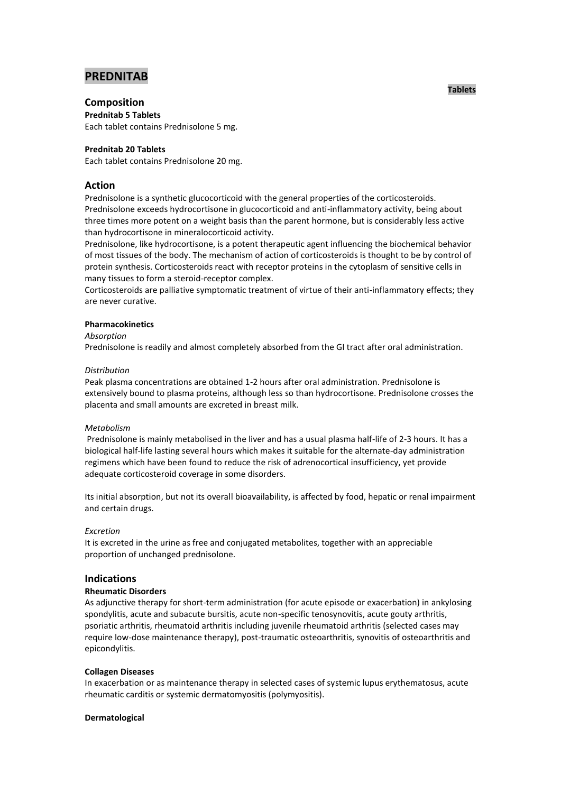# **PREDNITAB**

# **Composition**

**Prednitab 5 Tablets** Each tablet contains Prednisolone 5 mg.

## **Prednitab 20 Tablets**

Each tablet contains Prednisolone 20 mg.

## **Action**

Prednisolone is a synthetic glucocorticoid with the general properties of the corticosteroids. Prednisolone exceeds hydrocortisone in glucocorticoid and anti-inflammatory activity, being about three times more potent on a weight basis than the parent hormone, but is considerably less active than hydrocortisone in mineralocorticoid activity.

Prednisolone, like hydrocortisone, is a potent therapeutic agent influencing the biochemical behavior of most tissues of the body. The mechanism of action of corticosteroids is thought to be by control of protein synthesis. Corticosteroids react with receptor proteins in the cytoplasm of sensitive cells in many tissues to form a steroid-receptor complex.

Corticosteroids are palliative symptomatic treatment of virtue of their anti-inflammatory effects; they are never curative.

## **Pharmacokinetics**

## *Absorption*

Prednisolone is readily and almost completely absorbed from the GI tract after oral administration.

## *Distribution*

Peak plasma concentrations are obtained 1-2 hours after oral administration. Prednisolone is extensively bound to plasma proteins, although less so than hydrocortisone. Prednisolone crosses the placenta and small amounts are excreted in breast milk.

## *Metabolism*

Prednisolone is mainly metabolised in the liver and has a usual plasma half-life of 2-3 hours. It has a biological half-life lasting several hours which makes it suitable for the alternate-day administration regimens which have been found to reduce the risk of adrenocortical insufficiency, yet provide adequate corticosteroid coverage in some disorders.

Its initial absorption, but not its overall bioavailability, is affected by food, hepatic or renal impairment and certain drugs.

## *Excretion*

It is excreted in the urine as free and conjugated metabolites, together with an appreciable proportion of unchanged prednisolone.

## **Indications**

## **Rheumatic Disorders**

As adjunctive therapy for short-term administration (for acute episode or exacerbation) in ankylosing spondylitis, acute and subacute bursitis, acute non-specific tenosynovitis, acute gouty arthritis, psoriatic arthritis, rheumatoid arthritis including juvenile rheumatoid arthritis (selected cases may require low-dose maintenance therapy), post-traumatic osteoarthritis, synovitis of osteoarthritis and epicondylitis.

#### **Collagen Diseases**

In exacerbation or as maintenance therapy in selected cases of systemic lupus erythematosus, acute rheumatic carditis or systemic dermatomyositis (polymyositis).

#### **Dermatological**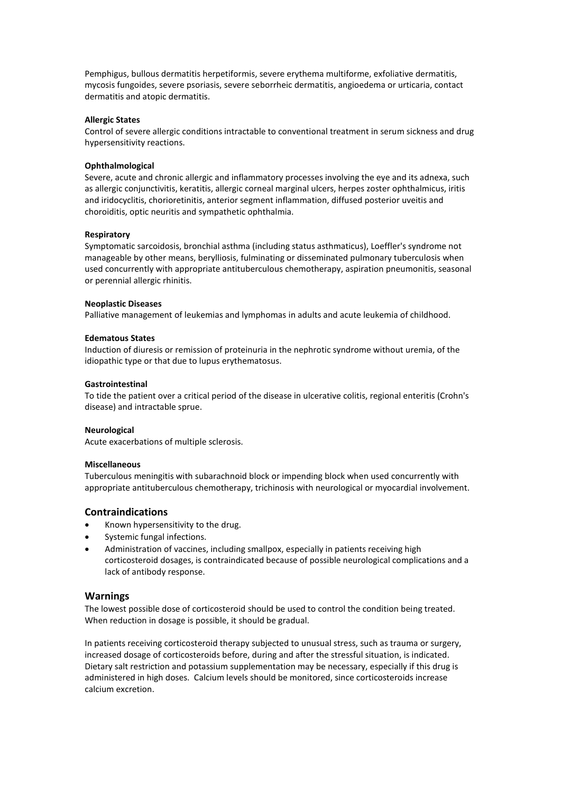Pemphigus, bullous dermatitis herpetiformis, severe erythema multiforme, exfoliative dermatitis, mycosis fungoides, severe psoriasis, severe seborrheic dermatitis, angioedema or urticaria, contact dermatitis and atopic dermatitis.

#### **Allergic States**

Control of severe allergic conditions intractable to conventional treatment in serum sickness and drug hypersensitivity reactions.

#### **Ophthalmological**

Severe, acute and chronic allergic and inflammatory processes involving the eve and its adnexa, such as allergic conjunctivitis, keratitis, allergic corneal marginal ulcers, herpes zoster ophthalmicus, iritis and iridocyclitis, chorioretinitis, anterior segment inflammation, diffused posterior uveitis and choroiditis, optic neuritis and sympathetic ophthalmia.

#### **Respiratory**

Symptomatic sarcoidosis, bronchial asthma (including status asthmaticus), Loeffler's syndrome not manageable by other means, berylliosis, fulminating or disseminated pulmonary tuberculosis when used concurrently with appropriate antituberculous chemotherapy, aspiration pneumonitis, seasonal or perennial allergic rhinitis.

## **Neoplastic Diseases**

Palliative management of leukemias and lymphomas in adults and acute leukemia of childhood.

## **Edematous States**

Induction of diuresis or remission of proteinuria in the nephrotic syndrome without uremia, of the idiopathic type or that due to lupus erythematosus.

## **Gastrointestinal**

To tide the patient over a critical period of the disease in ulcerative colitis, regional enteritis (Crohn's disease) and intractable sprue.

#### **Neurological**

Acute exacerbations of multiple sclerosis.

#### **Miscellaneous**

Tuberculous meningitis with subarachnoid block or impending block when used concurrently with appropriate antituberculous chemotherapy, trichinosis with neurological or myocardial involvement.

## **Contraindications**

- Known hypersensitivity to the drug.
- Systemic fungal infections.
- Administration of vaccines, including smallpox, especially in patients receiving high corticosteroid dosages, is contraindicated because of possible neurological complications and a lack of antibody response.

## **Warnings**

The lowest possible dose of corticosteroid should be used to control the condition being treated. When reduction in dosage is possible, it should be gradual.

In patients receiving corticosteroid therapy subjected to unusual stress, such as trauma or surgery, increased dosage of corticosteroids before, during and after the stressful situation, is indicated. Dietary salt restriction and potassium supplementation may be necessary, especially if this drug is administered in high doses. Calcium levels should be monitored, since corticosteroids increase calcium excretion.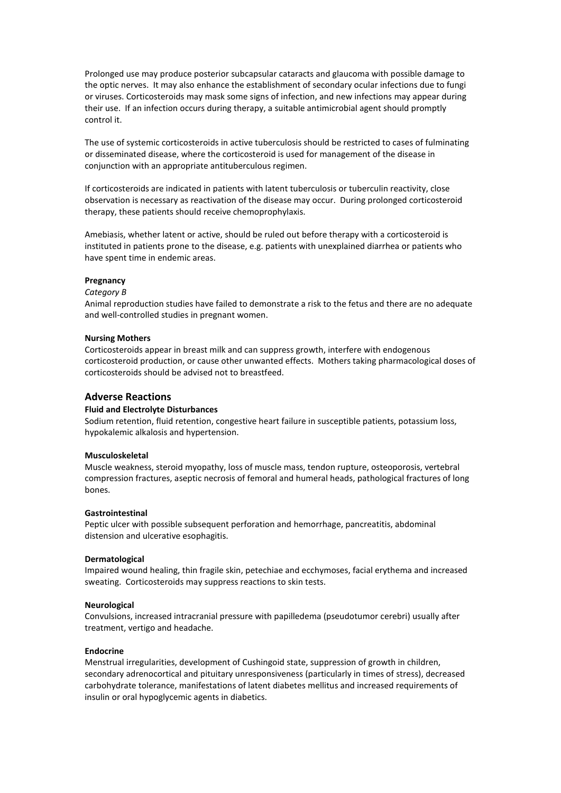Prolonged use may produce posterior subcapsular cataracts and glaucoma with possible damage to the optic nerves. It may also enhance the establishment of secondary ocular infections due to fungi or viruses. Corticosteroids may mask some signs of infection, and new infections may appear during their use. If an infection occurs during therapy, a suitable antimicrobial agent should promptly control it.

The use of systemic corticosteroids in active tuberculosis should be restricted to cases of fulminating or disseminated disease, where the corticosteroid is used for management of the disease in conjunction with an appropriate antituberculous regimen.

If corticosteroids are indicated in patients with latent tuberculosis or tuberculin reactivity, close observation is necessary as reactivation of the disease may occur. During prolonged corticosteroid therapy, these patients should receive chemoprophylaxis.

Amebiasis, whether latent or active, should be ruled out before therapy with a corticosteroid is instituted in patients prone to the disease, e.g. patients with unexplained diarrhea or patients who have spent time in endemic areas.

#### **Pregnancy**

#### *Category B*

Animal reproduction studies have failed to demonstrate a risk to the fetus and there are no adequate and well-controlled studies in pregnant women.

#### **Nursing Mothers**

Corticosteroids appear in breast milk and can suppress growth, interfere with endogenous corticosteroid production, or cause other unwanted effects. Mothers taking pharmacological doses of corticosteroids should be advised not to breastfeed.

## **Adverse Reactions**

#### **Fluid and Electrolyte Disturbances**

Sodium retention, fluid retention, congestive heart failure in susceptible patients, potassium loss, hypokalemic alkalosis and hypertension.

#### **Musculoskeletal**

Muscle weakness, steroid myopathy, loss of muscle mass, tendon rupture, osteoporosis, vertebral compression fractures, aseptic necrosis of femoral and humeral heads, pathological fractures of long bones.

## **Gastrointestinal**

Peptic ulcer with possible subsequent perforation and hemorrhage, pancreatitis, abdominal distension and ulcerative esophagitis.

#### **Dermatological**

Impaired wound healing, thin fragile skin, petechiae and ecchymoses, facial erythema and increased sweating. Corticosteroids may suppress reactions to skin tests.

#### **Neurological**

Convulsions, increased intracranial pressure with papilledema (pseudotumor cerebri) usually after treatment, vertigo and headache.

#### **Endocrine**

Menstrual irregularities, development of Cushingoid state, suppression of growth in children, secondary adrenocortical and pituitary unresponsiveness (particularly in times of stress), decreased carbohydrate tolerance, manifestations of latent diabetes mellitus and increased requirements of insulin or oral hypoglycemic agents in diabetics.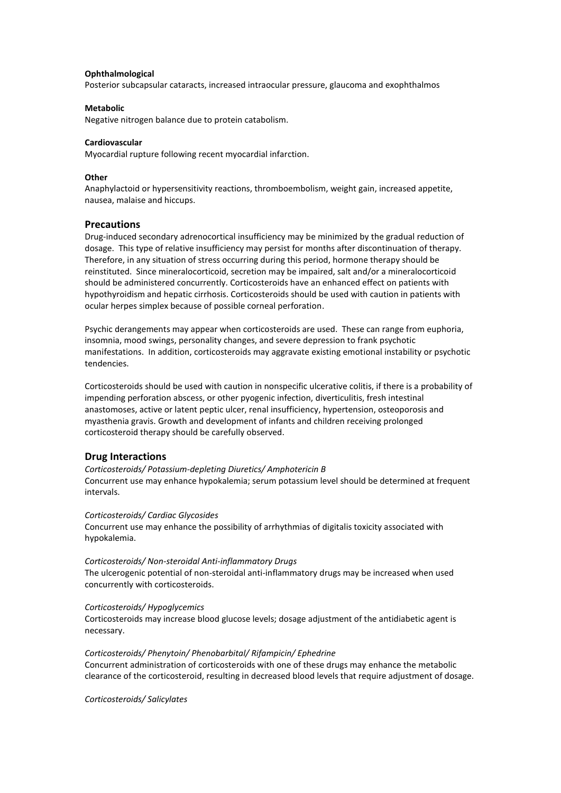#### **Ophthalmological**

Posterior subcapsular cataracts, increased intraocular pressure, glaucoma and exophthalmos

#### **Metabolic**

Negative nitrogen balance due to protein catabolism.

#### **Cardiovascular**

Myocardial rupture following recent myocardial infarction.

#### **Other**

Anaphylactoid or hypersensitivity reactions, thromboembolism, weight gain, increased appetite, nausea, malaise and hiccups.

## **Precautions**

Drug-induced secondary adrenocortical insufficiency may be minimized by the gradual reduction of dosage. This type of relative insufficiency may persist for months after discontinuation of therapy. Therefore, in any situation of stress occurring during this period, hormone therapy should be reinstituted. Since mineralocorticoid, secretion may be impaired, salt and/or a mineralocorticoid should be administered concurrently. Corticosteroids have an enhanced effect on patients with hypothyroidism and hepatic cirrhosis. Corticosteroids should be used with caution in patients with ocular herpes simplex because of possible corneal perforation.

Psychic derangements may appear when corticosteroids are used. These can range from euphoria, insomnia, mood swings, personality changes, and severe depression to frank psychotic manifestations. In addition, corticosteroids may aggravate existing emotional instability or psychotic tendencies.

Corticosteroids should be used with caution in nonspecific ulcerative colitis, if there is a probability of impending perforation abscess, or other pyogenic infection, diverticulitis, fresh intestinal anastomoses, active or latent peptic ulcer, renal insufficiency, hypertension, osteoporosis and myasthenia gravis. Growth and development of infants and children receiving prolonged corticosteroid therapy should be carefully observed.

## **Drug Interactions**

*Corticosteroids/ Potassium-depleting Diuretics/ Amphotericin B* Concurrent use may enhance hypokalemia; serum potassium level should be determined at frequent intervals.

#### *Corticosteroids/ Cardiac Glycosides*

Concurrent use may enhance the possibility of arrhythmias of digitalis toxicity associated with hypokalemia.

#### *Corticosteroids/ Non-steroidal Anti-inflammatory Drugs*

The ulcerogenic potential of non-steroidal anti-inflammatory drugs may be increased when used concurrently with corticosteroids.

#### *Corticosteroids/ Hypoglycemics*

Corticosteroids may increase blood glucose levels; dosage adjustment of the antidiabetic agent is necessary.

#### *Corticosteroids/ Phenytoin/ Phenobarbital/ Rifampicin/ Ephedrine*

Concurrent administration of corticosteroids with one of these drugs may enhance the metabolic clearance of the corticosteroid, resulting in decreased blood levels that require adjustment of dosage.

*Corticosteroids/ Salicylates*